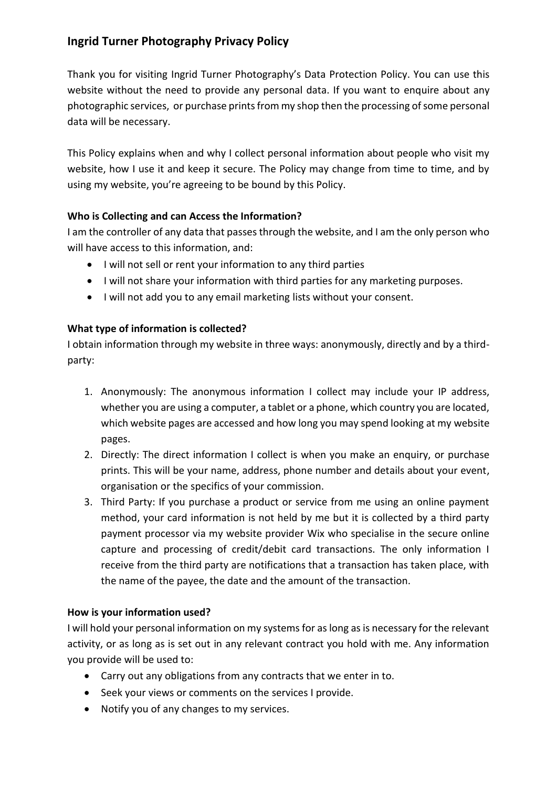# **Ingrid Turner Photography Privacy Policy**

Thank you for visiting Ingrid Turner Photography's Data Protection Policy. You can use this website without the need to provide any personal data. If you want to enquire about any photographic services, or purchase prints from my shop then the processing of some personal data will be necessary.

This Policy explains when and why I collect personal information about people who visit my website, how I use it and keep it secure. The Policy may change from time to time, and by using my website, you're agreeing to be bound by this Policy.

## **Who is Collecting and can Access the Information?**

I am the controller of any data that passes through the website, and I am the only person who will have access to this information, and:

- I will not sell or rent your information to any third parties
- I will not share your information with third parties for any marketing purposes.
- I will not add you to any email marketing lists without your consent.

# **What type of information is collected?**

I obtain information through my website in three ways: anonymously, directly and by a thirdparty:

- 1. Anonymously: The anonymous information I collect may include your IP address, whether you are using a computer, a tablet or a phone, which country you are located, which website pages are accessed and how long you may spend looking at my website pages.
- 2. Directly: The direct information I collect is when you make an enquiry, or purchase prints. This will be your name, address, phone number and details about your event, organisation or the specifics of your commission.
- 3. Third Party: If you purchase a product or service from me using an online payment method, your card information is not held by me but it is collected by a third party payment processor via my website provider Wix who specialise in the secure online capture and processing of credit/debit card transactions. The only information I receive from the third party are notifications that a transaction has taken place, with the name of the payee, the date and the amount of the transaction.

#### **How is your information used?**

I will hold your personal information on my systems for as long as is necessary for the relevant activity, or as long as is set out in any relevant contract you hold with me. Any information you provide will be used to:

- Carry out any obligations from any contracts that we enter in to.
- Seek your views or comments on the services I provide.
- Notify you of any changes to my services.